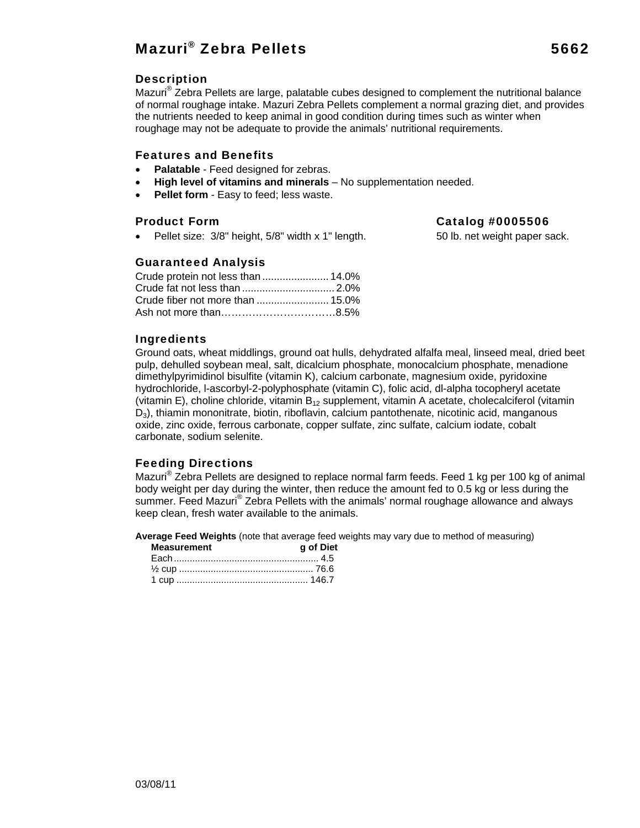## Mazuri® Zebra Pellets 5662

#### Description

Mazuri® Zebra Pellets are large, palatable cubes designed to complement the nutritional balance of normal roughage intake. Mazuri Zebra Pellets complement a normal grazing diet, and provides the nutrients needed to keep animal in good condition during times such as winter when roughage may not be adequate to provide the animals' nutritional requirements.

#### Features and Benefits

- **Palatable**  Feed designed for zebras.
- **High level of vitamins and minerals** No supplementation needed.
- **Pellet form** Easy to feed; less waste.

• Pellet size: 3/8" height, 5/8" width x 1" length. 50 lb. net weight paper sack.

### Product Form Catalog #0005506

#### Guaranteed Analysis

#### Ingredients

Ground oats, wheat middlings, ground oat hulls, dehydrated alfalfa meal, linseed meal, dried beet pulp, dehulled soybean meal, salt, dicalcium phosphate, monocalcium phosphate, menadione dimethylpyrimidinol bisulfite (vitamin K), calcium carbonate, magnesium oxide, pyridoxine hydrochloride, l-ascorbyl-2-polyphosphate (vitamin C), folic acid, dl-alpha tocopheryl acetate (vitamin E), choline chloride, vitamin  $B_{12}$  supplement, vitamin A acetate, cholecalciferol (vitamin D<sub>3</sub>), thiamin mononitrate, biotin, riboflavin, calcium pantothenate, nicotinic acid, manganous oxide, zinc oxide, ferrous carbonate, copper sulfate, zinc sulfate, calcium iodate, cobalt carbonate, sodium selenite.

#### Feeding Directions

Mazuri® Zebra Pellets are designed to replace normal farm feeds. Feed 1 kg per 100 kg of animal body weight per day during the winter, then reduce the amount fed to 0.5 kg or less during the summer. Feed Mazuri® Zebra Pellets with the animals' normal roughage allowance and always keep clean, fresh water available to the animals.

**Average Feed Weights** (note that average feed weights may vary due to method of measuring)

| <b>Measurement</b> | g of Diet |
|--------------------|-----------|
|                    |           |
|                    |           |
|                    |           |